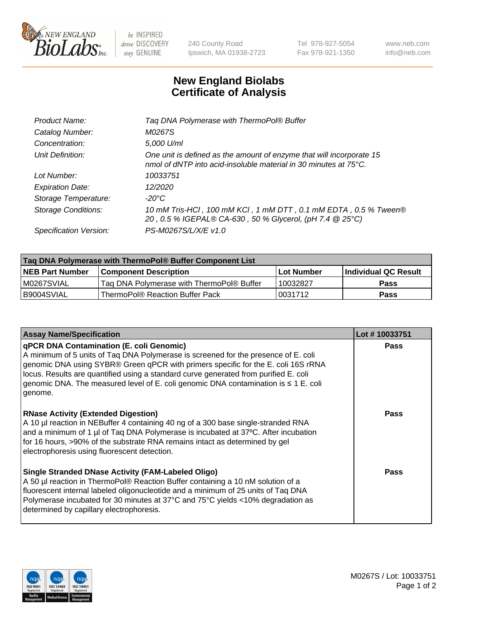

 $be$  INSPIRED drive DISCOVERY stay GENUINE

240 County Road Ipswich, MA 01938-2723 Tel 978-927-5054 Fax 978-921-1350 www.neb.com info@neb.com

## **New England Biolabs Certificate of Analysis**

| Tag DNA Polymerase with ThermoPol® Buffer                                                                                                |
|------------------------------------------------------------------------------------------------------------------------------------------|
| M0267S                                                                                                                                   |
| 5,000 U/ml                                                                                                                               |
| One unit is defined as the amount of enzyme that will incorporate 15<br>nmol of dNTP into acid-insoluble material in 30 minutes at 75°C. |
| 10033751                                                                                                                                 |
| 12/2020                                                                                                                                  |
| $-20^{\circ}$ C                                                                                                                          |
| 10 mM Tris-HCl, 100 mM KCl, 1 mM DTT, 0.1 mM EDTA, 0.5 % Tween®<br>20, 0.5 % IGEPAL® CA-630, 50 % Glycerol, (pH 7.4 @ 25°C)              |
| PS-M0267S/L/X/E v1.0                                                                                                                     |
|                                                                                                                                          |

| Tag DNA Polymerase with ThermoPol® Buffer Component List |                                           |                   |                      |  |
|----------------------------------------------------------|-------------------------------------------|-------------------|----------------------|--|
| <b>NEB Part Number</b>                                   | <b>Component Description</b>              | <b>Lot Number</b> | Individual QC Result |  |
| IM0267SVIAL                                              | Tag DNA Polymerase with ThermoPol® Buffer | 10032827          | <b>Pass</b>          |  |
| I B9004SVIAL                                             | ThermoPol® Reaction Buffer Pack           | '0031712          | <b>Pass</b>          |  |

| <b>Assay Name/Specification</b>                                                                                                                                                                                                                                                                                                                                                                                      | Lot #10033751 |
|----------------------------------------------------------------------------------------------------------------------------------------------------------------------------------------------------------------------------------------------------------------------------------------------------------------------------------------------------------------------------------------------------------------------|---------------|
| <b>qPCR DNA Contamination (E. coli Genomic)</b><br>A minimum of 5 units of Taq DNA Polymerase is screened for the presence of E. coli<br>genomic DNA using SYBR® Green qPCR with primers specific for the E. coli 16S rRNA<br>locus. Results are quantified using a standard curve generated from purified E. coli<br>genomic DNA. The measured level of E. coli genomic DNA contamination is ≤ 1 E. coli<br>genome. | <b>Pass</b>   |
| <b>RNase Activity (Extended Digestion)</b><br>A 10 µl reaction in NEBuffer 4 containing 40 ng of a 300 base single-stranded RNA<br>and a minimum of 1 µl of Taq DNA Polymerase is incubated at 37°C. After incubation<br>for 16 hours, >90% of the substrate RNA remains intact as determined by gel<br>electrophoresis using fluorescent detection.                                                                 | <b>Pass</b>   |
| <b>Single Stranded DNase Activity (FAM-Labeled Oligo)</b><br>A 50 µl reaction in ThermoPol® Reaction Buffer containing a 10 nM solution of a<br>fluorescent internal labeled oligonucleotide and a minimum of 25 units of Taq DNA<br>Polymerase incubated for 30 minutes at 37°C and 75°C yields <10% degradation as<br>determined by capillary electrophoresis.                                                     | <b>Pass</b>   |